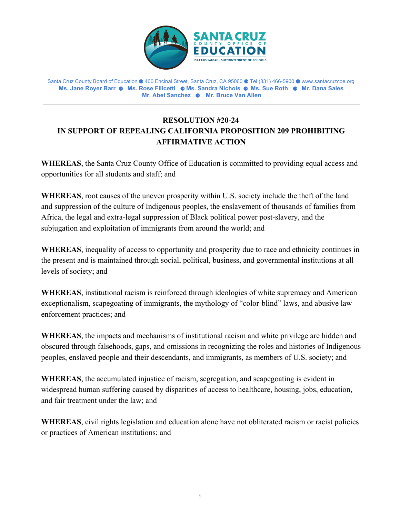

Santa Cruz County Board of Education ⚈ 400 Encinal Street, Santa Cruz, CA 95060 ⚈ Tel (831) 466-5900 ⚈ www.santacruzcoe.org **Ms. Jane Royer Barr** ⚈ **Ms. Rose Filicetti** ⚈ **Ms. Sandra Nichols** ⚈ **Ms. Sue Roth** ⚈ **Mr. Dana Sales Mr. Abel Sanchez** ⚈ **Mr. Bruce Van Allen**

## **RESOLUTION #20-24 IN SUPPORT OF REPEALING CALIFORNIA PROPOSITION 209 PROHIBITING AFFIRMATIVE ACTION**

**WHEREAS**, the Santa Cruz County Office of Education is committed to providing equal access and opportunities for all students and staff; and

**WHEREAS**, root causes of the uneven prosperity within U.S. society include the theft of the land and suppression of the culture of Indigenous peoples, the enslavement of thousands of families from Africa, the legal and extra-legal suppression of Black political power post-slavery, and the subjugation and exploitation of immigrants from around the world; and

**WHEREAS**, inequality of access to opportunity and prosperity due to race and ethnicity continues in the present and is maintained through social, political, business, and governmental institutions at all levels of society; and

**WHEREAS**, institutional racism is reinforced through ideologies of white supremacy and American exceptionalism, scapegoating of immigrants, the mythology of "color-blind" laws, and abusive law enforcement practices; and

**WHEREAS**, the impacts and mechanisms of institutional racism and white privilege are hidden and obscured through falsehoods, gaps, and omissions in recognizing the roles and histories of Indigenous peoples, enslaved people and their descendants, and immigrants, as members of U.S. society; and

**WHEREAS**, the accumulated injustice of racism, segregation, and scapegoating is evident in widespread human suffering caused by disparities of access to healthcare, housing, jobs, education, and fair treatment under the law; and

**WHEREAS**, civil rights legislation and education alone have not obliterated racism or racist policies or practices of American institutions; and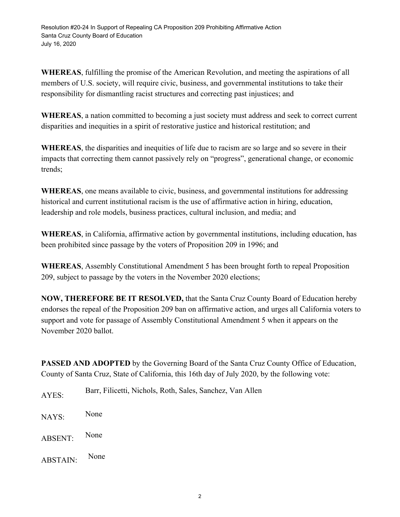**WHEREAS**, fulfilling the promise of the American Revolution, and meeting the aspirations of all members of U.S. society, will require civic, business, and governmental institutions to take their responsibility for dismantling racist structures and correcting past injustices; and

**WHEREAS**, a nation committed to becoming a just society must address and seek to correct current disparities and inequities in a spirit of restorative justice and historical restitution; and

**WHEREAS**, the disparities and inequities of life due to racism are so large and so severe in their impacts that correcting them cannot passively rely on "progress", generational change, or economic trends;

**WHEREAS**, one means available to civic, business, and governmental institutions for addressing historical and current institutional racism is the use of affirmative action in hiring, education, leadership and role models, business practices, cultural inclusion, and media; and

**WHEREAS**, in California, affirmative action by governmental institutions, including education, has been prohibited since passage by the voters of Proposition 209 in 1996; and

**WHEREAS**, Assembly Constitutional Amendment 5 has been brought forth to repeal Proposition 209, subject to passage by the voters in the November 2020 elections;

**NOW, THEREFORE BE IT RESOLVED,** that the Santa Cruz County Board of Education hereby endorses the repeal of the Proposition 209 ban on affirmative action, and urges all California voters to support and vote for passage of Assembly Constitutional Amendment 5 when it appears on the November 2020 ballot.

**PASSED AND ADOPTED** by the Governing Board of the Santa Cruz County Office of Education, County of Santa Cruz, State of California, this 16th day of July 2020, by the following vote:

- AYES: Barr, Filicetti, Nichols, Roth, Sales, Sanchez, Van Allen
- NAYS: None
- ABSENT: None
- ABSTAIN: None